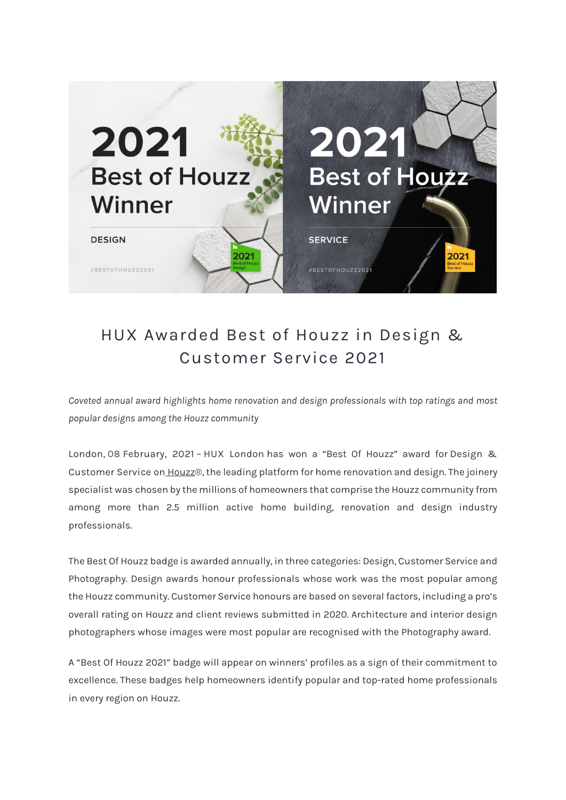

## HUX Awarded Best of Houzz in Design & Customer Service 2021

*Coveted annual award highlights home renovation and design professionals with top ratings and most popular designs among the Houzz community*

**London**, **08 February, 2021** – **HUX London** has won a "Best Of Houzz" award for **Design & Customer Service** on [Houzz®](http://www.houzz.co.uk/), the leading platform for home renovation and design. The joinery specialist was chosen by the millions of homeowners that comprise the Houzz community from among more than 2.5 million active home building, renovation and design industry professionals.

The Best Of Houzz badge is awarded annually, in three categories: Design, Customer Service and Photography. Design awards honour professionals whose work was the most popular among the Houzz community. Customer Service honours are based on several factors, including a pro's overall rating on Houzz and client reviews submitted in 2020. Architecture and interior design photographers whose images were most popular are recognised with the Photography award.

A "Best Of Houzz 2021" badge will appear on winners' profiles as a sign of their commitment to excellence. These badges help homeowners identify popular and top-rated home professionals in every region on Houzz.